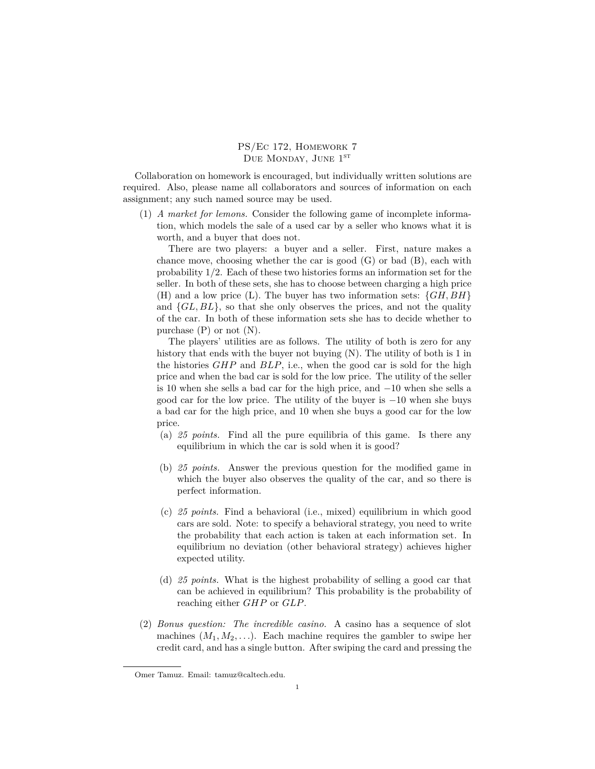PS/Ec 172, Homework 7 DUE MONDAY, JUNE  $1<sup>ST</sup>$ 

Collaboration on homework is encouraged, but individually written solutions are required. Also, please name all collaborators and sources of information on each assignment; any such named source may be used.

(1) *A market for lemons.* Consider the following game of incomplete information, which models the sale of a used car by a seller who knows what it is worth, and a buyer that does not.

There are two players: a buyer and a seller. First, nature makes a chance move, choosing whether the car is good  $(G)$  or bad  $(B)$ , each with probability 1*/*2. Each of these two histories forms an information set for the seller. In both of these sets, she has to choose between charging a high price (H) and a low price (L). The buyer has two information sets: *{GH, BH}* and *{GL, BL}*, so that she only observes the prices, and not the quality of the car. In both of these information sets she has to decide whether to purchase  $(P)$  or not  $(N)$ .

The players' utilities are as follows. The utility of both is zero for any history that ends with the buyer not buying (N). The utility of both is 1 in the histories *GHP* and *BLP*, i.e., when the good car is sold for the high price and when the bad car is sold for the low price. The utility of the seller is 10 when she sells a bad car for the high price, and *−*10 when she sells a good car for the low price. The utility of the buyer is *−*10 when she buys a bad car for the high price, and 10 when she buys a good car for the low price.

- (a) *25 points.* Find all the pure equilibria of this game. Is there any equilibrium in which the car is sold when it is good?
- (b) *25 points.* Answer the previous question for the modified game in which the buyer also observes the quality of the car, and so there is perfect information.
- (c) *25 points.* Find a behavioral (i.e., mixed) equilibrium in which good cars are sold. Note: to specify a behavioral strategy, you need to write the probability that each action is taken at each information set. In equilibrium no deviation (other behavioral strategy) achieves higher expected utility.
- (d) *25 points.* What is the highest probability of selling a good car that can be achieved in equilibrium? This probability is the probability of reaching either *GHP* or *GLP*.
- (2) *Bonus question: The incredible casino.* A casino has a sequence of slot machines  $(M_1, M_2, \ldots)$ . Each machine requires the gambler to swipe her credit card, and has a single button. After swiping the card and pressing the

Omer Tamuz. Email: tamuz@caltech.edu.